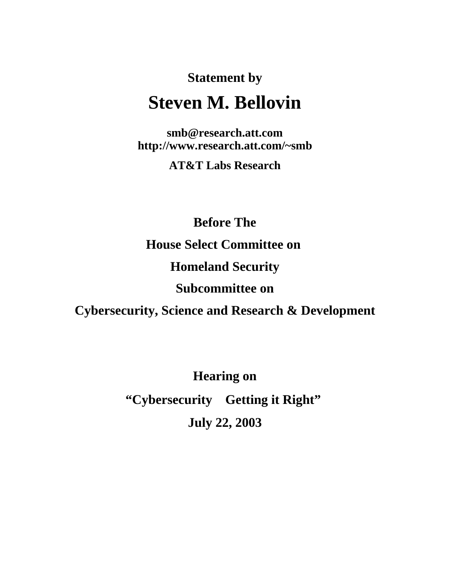# **Statement by Steven M. Bellovin**

**smb@research.att.com http://www.research.att.com/~smb**

**AT&T Labs Research**

**Before The House Select Committee on Homeland Security Subcommittee on**

**Cybersecurity, Science and Research & Development**

**Hearing on** "Cybersecurity-Getting it Right"

**July 22, 2003**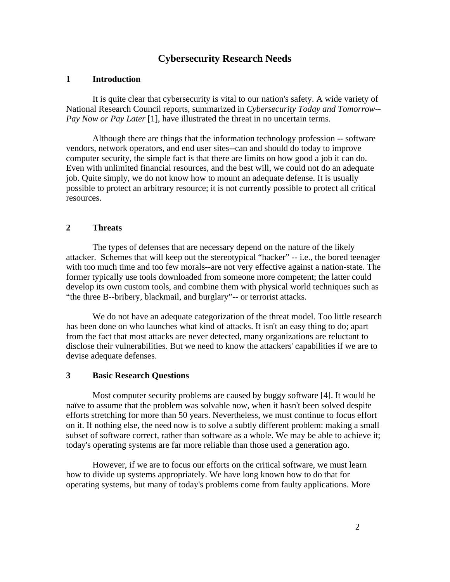# **Cybersecurity Research Needs**

# **1 Introduction**

It is quite clear that cybersecurity is vital to our nation's safety. A wide variety of National Research Council reports, summarized in *Cybersecurity Today and Tomorrow-- Pay Now or Pay Later* [1], have illustrated the threat in no uncertain terms.

Although there are things that the information technology profession -- software vendors, network operators, and end user sites--can and should do today to improve computer security, the simple fact is that there are limits on how good a job it can do. Even with unlimited financial resources, and the best will, we could not do an adequate job. Quite simply, we do not know how to mount an adequate defense. It is usually possible to protect an arbitrary resource; it is not currently possible to protect all critical resources.

# **2 Threats**

The types of defenses that are necessary depend on the nature of the likely attacker. Schemes that will keep out the stereotypical "hacker" -- i.e., the bored teenager with too much time and too few morals--are not very effective against a nation-state. The former typically use tools downloaded from someone more competent; the latter could develop its own custom tools, and combine them with physical world techniques such as "the three B--bribery, blackmail, and burglary"-- or terrorist attacks.

We do not have an adequate categorization of the threat model. Too little research has been done on who launches what kind of attacks. It isn't an easy thing to do; apart from the fact that most attacks are never detected, many organizations are reluctant to disclose their vulnerabilities. But we need to know the attackers' capabilities if we are to devise adequate defenses.

# **3 Basic Research Questions**

Most computer security problems are caused by buggy software [4]. It would be naïve to assume that the problem was solvable now, when it hasn't been solved despite efforts stretching for more than 50 years. Nevertheless, we must continue to focus effort on it. If nothing else, the need now is to solve a subtly different problem: making a small subset of software correct, rather than software as a whole. We may be able to achieve it; today's operating systems are far more reliable than those used a generation ago.

However, if we are to focus our efforts on the critical software, we must learn how to divide up systems appropriately. We have long known how to do that for operating systems, but many of today's problems come from faulty applications. More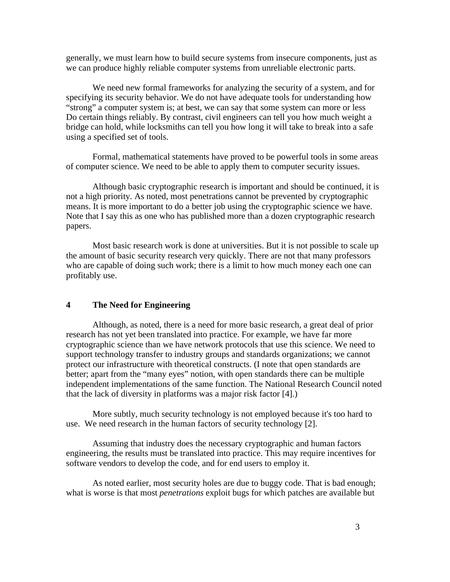generally, we must learn how to build secure systems from insecure components, just as we can produce highly reliable computer systems from unreliable electronic parts.

We need new formal frameworks for analyzing the security of a system, and for specifying its security behavior. We do not have adequate tools for understanding how "strong" a computer system is; at best, we can say that some system can more or less Do certain things reliably. By contrast, civil engineers can tell you how much weight a bridge can hold, while locksmiths can tell you how long it will take to break into a safe using a specified set of tools.

Formal, mathematical statements have proved to be powerful tools in some areas of computer science. We need to be able to apply them to computer security issues.

Although basic cryptographic research is important and should be continued, it is not a high priority. As noted, most penetrations cannot be prevented by cryptographic means. It is more important to do a better job using the cryptographic science we have. Note that I say this as one who has published more than a dozen cryptographic research papers.

Most basic research work is done at universities. But it is not possible to scale up the amount of basic security research very quickly. There are not that many professors who are capable of doing such work; there is a limit to how much money each one can profitably use.

# **4 The Need for Engineering**

Although, as noted, there is a need for more basic research, a great deal of prior research has not yet been translated into practice. For example, we have far more cryptographic science than we have network protocols that use this science. We need to support technology transfer to industry groups and standards organizations; we cannot protect our infrastructure with theoretical constructs. (I note that open standards are better; apart from the "many eyes" notion, with open standards there can be multiple independent implementations of the same function. The National Research Council noted that the lack of diversity in platforms was a major risk factor [4].)

More subtly, much security technology is not employed because it's too hard to use. We need research in the human factors of security technology [2].

Assuming that industry does the necessary cryptographic and human factors engineering, the results must be translated into practice. This may require incentives for software vendors to develop the code, and for end users to employ it.

As noted earlier, most security holes are due to buggy code. That is bad enough; what is worse is that most *penetrations* exploit bugs for which patches are available but